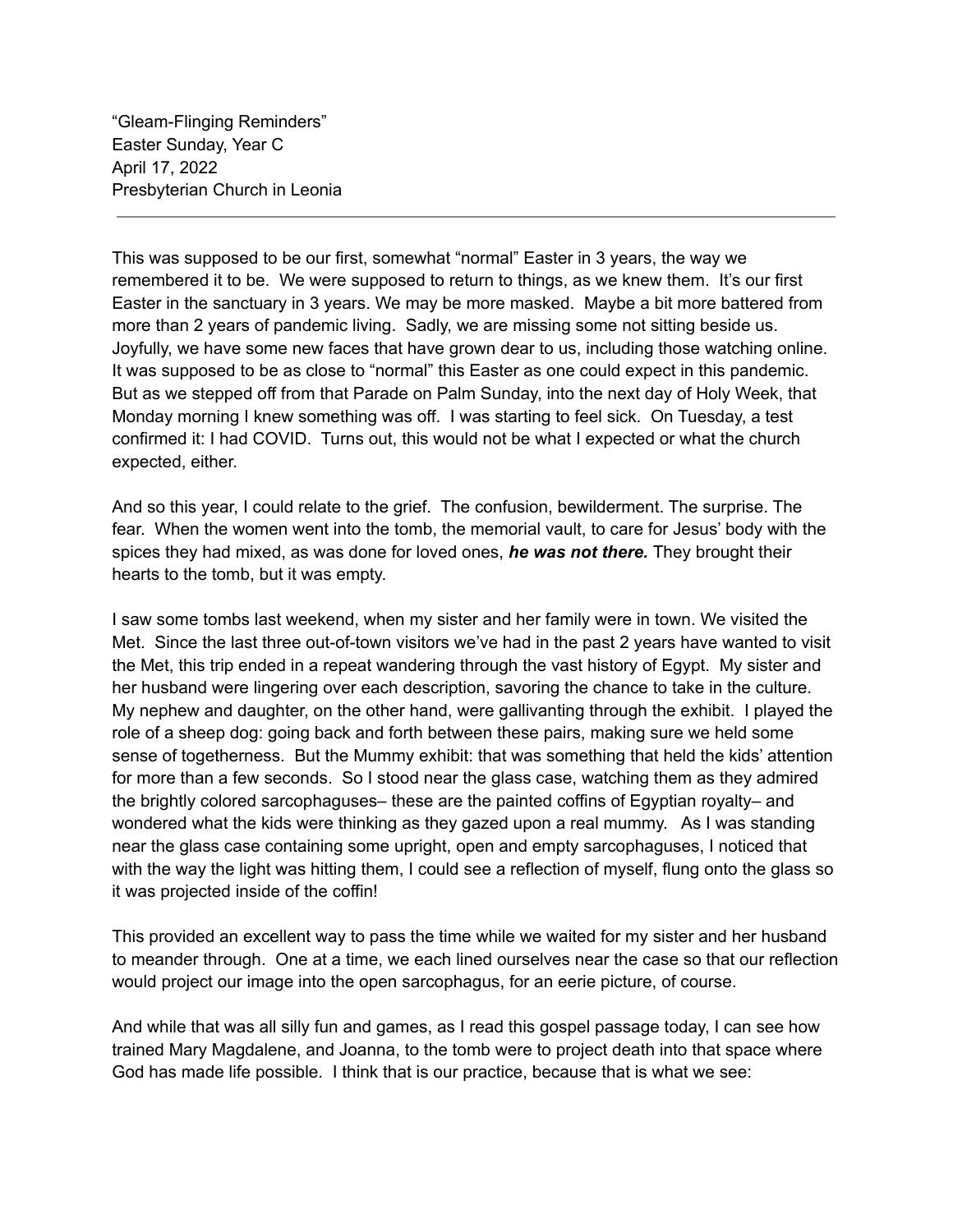"Gleam-Flinging Reminders" Easter Sunday, Year C April 17, 2022 Presbyterian Church in Leonia

This was supposed to be our first, somewhat "normal" Easter in 3 years, the way we remembered it to be. We were supposed to return to things, as we knew them. It's our first Easter in the sanctuary in 3 years. We may be more masked. Maybe a bit more battered from more than 2 years of pandemic living. Sadly, we are missing some not sitting beside us. Joyfully, we have some new faces that have grown dear to us, including those watching online. It was supposed to be as close to "normal" this Easter as one could expect in this pandemic. But as we stepped off from that Parade on Palm Sunday, into the next day of Holy Week, that Monday morning I knew something was off. I was starting to feel sick. On Tuesday, a test confirmed it: I had COVID. Turns out, this would not be what I expected or what the church expected, either.

And so this year, I could relate to the grief. The confusion, bewilderment. The surprise. The fear. When the women went into the tomb, the memorial vault, to care for Jesus' body with the spices they had mixed, as was done for loved ones, *he was not there.* They brought their hearts to the tomb, but it was empty.

I saw some tombs last weekend, when my sister and her family were in town. We visited the Met. Since the last three out-of-town visitors we've had in the past 2 years have wanted to visit the Met, this trip ended in a repeat wandering through the vast history of Egypt. My sister and her husband were lingering over each description, savoring the chance to take in the culture. My nephew and daughter, on the other hand, were gallivanting through the exhibit. I played the role of a sheep dog: going back and forth between these pairs, making sure we held some sense of togetherness. But the Mummy exhibit: that was something that held the kids' attention for more than a few seconds. So I stood near the glass case, watching them as they admired the brightly colored sarcophaguses– these are the painted coffins of Egyptian royalty– and wondered what the kids were thinking as they gazed upon a real mummy. As I was standing near the glass case containing some upright, open and empty sarcophaguses, I noticed that with the way the light was hitting them, I could see a reflection of myself, flung onto the glass so it was projected inside of the coffin!

This provided an excellent way to pass the time while we waited for my sister and her husband to meander through. One at a time, we each lined ourselves near the case so that our reflection would project our image into the open sarcophagus, for an eerie picture, of course.

And while that was all silly fun and games, as I read this gospel passage today, I can see how trained Mary Magdalene, and Joanna, to the tomb were to project death into that space where God has made life possible. I think that is our practice, because that is what we see: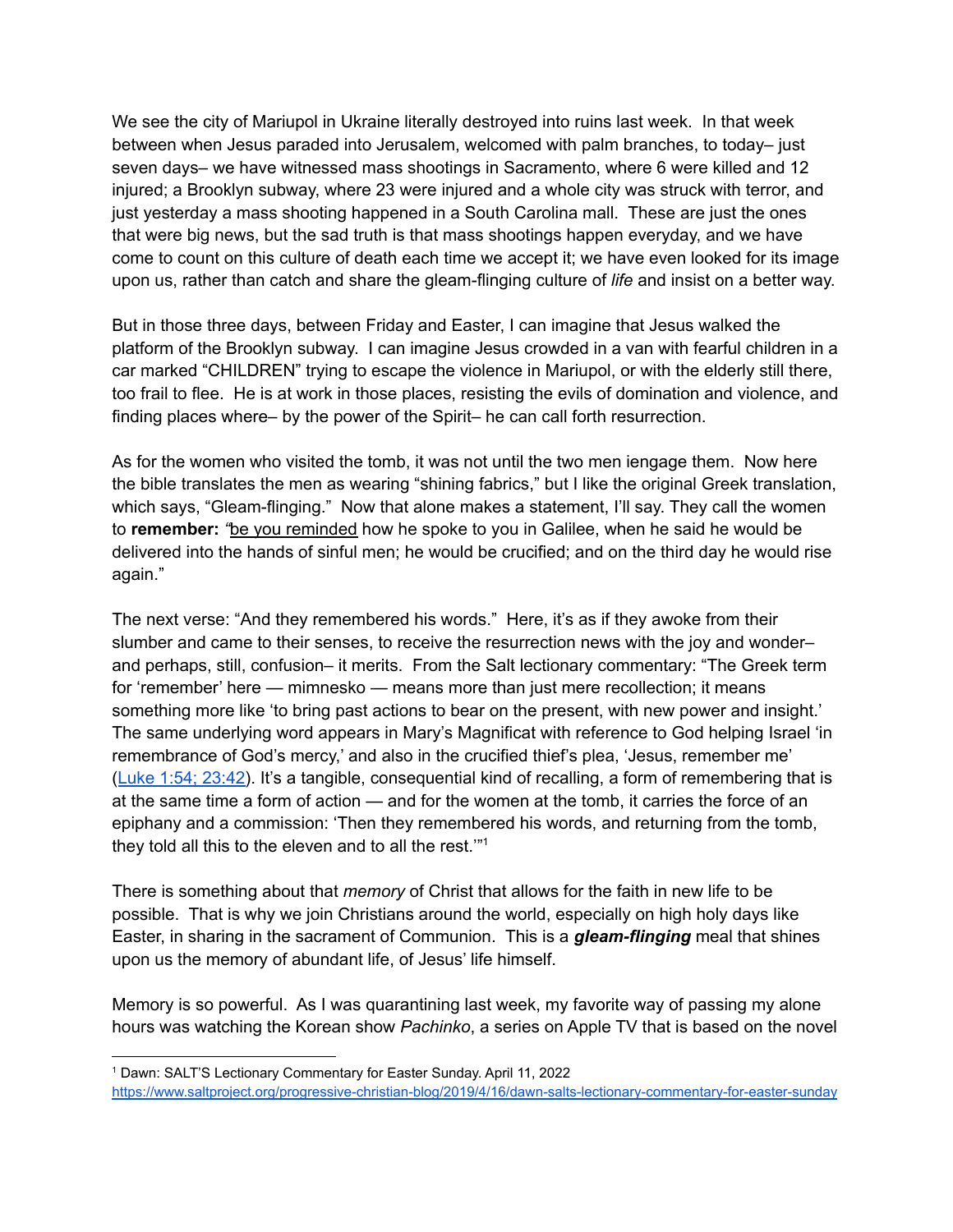We see the city of Mariupol in Ukraine literally destroyed into ruins last week. In that week between when Jesus paraded into Jerusalem, welcomed with palm branches, to today– just seven days– we have witnessed mass shootings in Sacramento, where 6 were killed and 12 injured; a Brooklyn subway, where 23 were injured and a whole city was struck with terror, and just yesterday a mass shooting happened in a South Carolina mall. These are just the ones that were big news, but the sad truth is that mass shootings happen everyday, and we have come to count on this culture of death each time we accept it; we have even looked for its image upon us, rather than catch and share the gleam-flinging culture of *life* and insist on a better way.

But in those three days, between Friday and Easter, I can imagine that Jesus walked the platform of the Brooklyn subway. I can imagine Jesus crowded in a van with fearful children in a car marked "CHILDREN" trying to escape the violence in Mariupol, or with the elderly still there, too frail to flee. He is at work in those places, resisting the evils of domination and violence, and finding places where– by the power of the Spirit– he can call forth resurrection.

As for the women who visited the tomb, it was not until the two men iengage them. Now here the bible translates the men as wearing "shining fabrics," but I like the original Greek translation, which says, "Gleam-flinging." Now that alone makes a statement, I'll say. They call the women to **remember:** *"*be you reminded how he spoke to you in Galilee, when he said he would be delivered into the hands of sinful men; he would be crucified; and on the third day he would rise again."

The next verse: "And they remembered his words." Here, it's as if they awoke from their slumber and came to their senses, to receive the resurrection news with the joy and wonder– and perhaps, still, confusion– it merits. From the Salt lectionary commentary: "The Greek term for 'remember' here — mimnesko — means more than just mere recollection; it means something more like 'to bring past actions to bear on the present, with new power and insight.' The same underlying word appears in Mary's Magnificat with reference to God helping Israel 'in remembrance of God's mercy,' and also in the crucified thief's plea, 'Jesus, remember me' (Luke 1:54; [23:42\)](https://www.biblegateway.com/passage/?search=Luke+1%3A54%3B+23%3A42&version=NRSV). It's a tangible, consequential kind of recalling, a form of remembering that is at the same time a form of action — and for the women at the tomb, it carries the force of an epiphany and a commission: 'Then they remembered his words, and returning from the tomb, they told all this to the eleven and to all the rest.'" 1

There is something about that *memory* of Christ that allows for the faith in new life to be possible. That is why we join Christians around the world, especially on high holy days like Easter, in sharing in the sacrament of Communion. This is a *gleam-flinging* meal that shines upon us the memory of abundant life, of Jesus' life himself.

Memory is so powerful. As I was quarantining last week, my favorite way of passing my alone hours was watching the Korean show *Pachinko*, a series on Apple TV that is based on the novel

<sup>1</sup> Dawn: SALT'S Lectionary Commentary for Easter Sunday. April 11, 2022 <https://www.saltproject.org/progressive-christian-blog/2019/4/16/dawn-salts-lectionary-commentary-for-easter-sunday>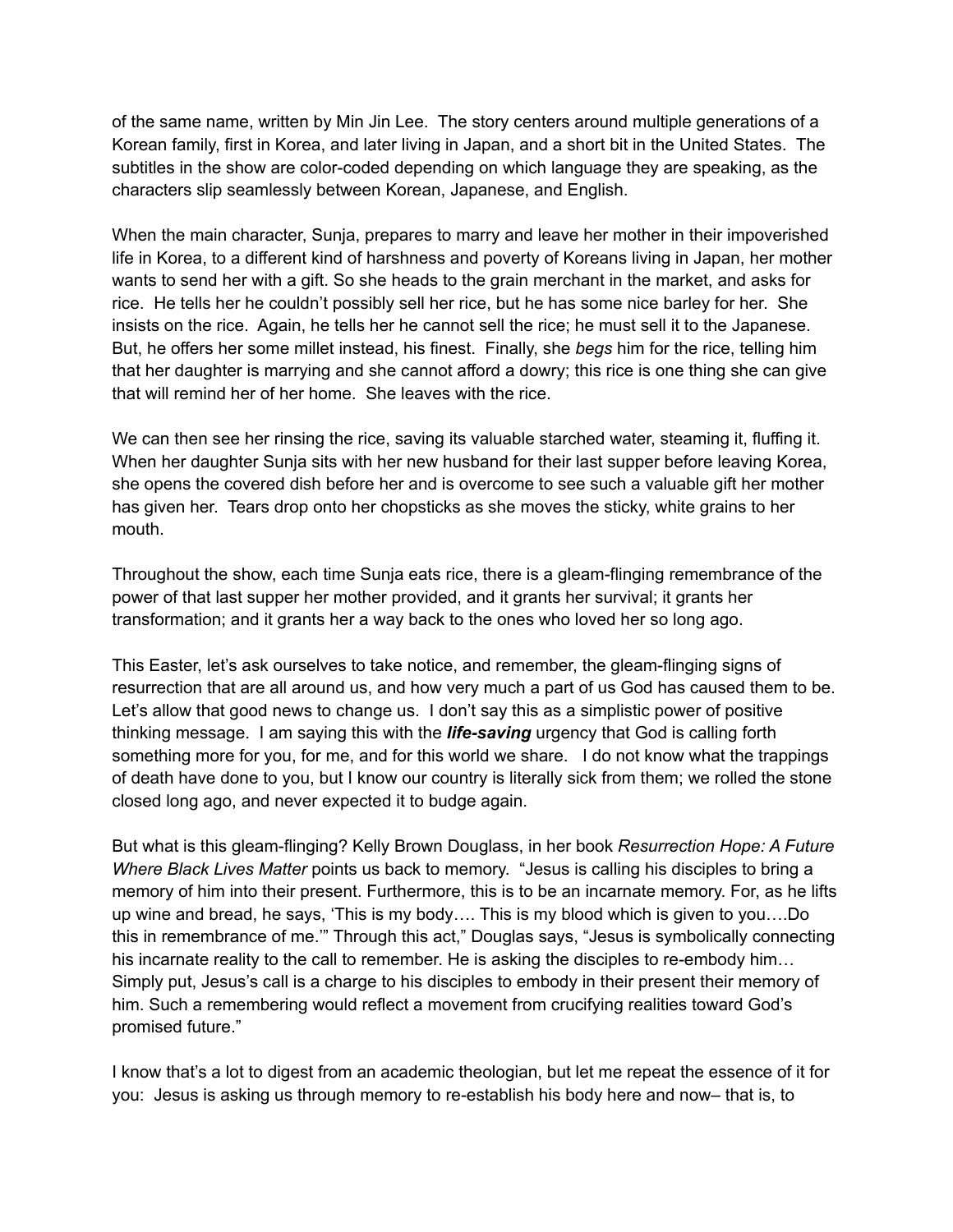of the same name, written by Min Jin Lee. The story centers around multiple generations of a Korean family, first in Korea, and later living in Japan, and a short bit in the United States. The subtitles in the show are color-coded depending on which language they are speaking, as the characters slip seamlessly between Korean, Japanese, and English.

When the main character, Sunja, prepares to marry and leave her mother in their impoverished life in Korea, to a different kind of harshness and poverty of Koreans living in Japan, her mother wants to send her with a gift. So she heads to the grain merchant in the market, and asks for rice. He tells her he couldn't possibly sell her rice, but he has some nice barley for her. She insists on the rice. Again, he tells her he cannot sell the rice; he must sell it to the Japanese. But, he offers her some millet instead, his finest. Finally, she *begs* him for the rice, telling him that her daughter is marrying and she cannot afford a dowry; this rice is one thing she can give that will remind her of her home. She leaves with the rice.

We can then see her rinsing the rice, saving its valuable starched water, steaming it, fluffing it. When her daughter Sunja sits with her new husband for their last supper before leaving Korea, she opens the covered dish before her and is overcome to see such a valuable gift her mother has given her. Tears drop onto her chopsticks as she moves the sticky, white grains to her mouth.

Throughout the show, each time Sunja eats rice, there is a gleam-flinging remembrance of the power of that last supper her mother provided, and it grants her survival; it grants her transformation; and it grants her a way back to the ones who loved her so long ago.

This Easter, let's ask ourselves to take notice, and remember, the gleam-flinging signs of resurrection that are all around us, and how very much a part of us God has caused them to be. Let's allow that good news to change us. I don't say this as a simplistic power of positive thinking message. I am saying this with the *life-saving* urgency that God is calling forth something more for you, for me, and for this world we share. I do not know what the trappings of death have done to you, but I know our country is literally sick from them; we rolled the stone closed long ago, and never expected it to budge again.

But what is this gleam-flinging? Kelly Brown Douglass, in her book *Resurrection Hope: A Future Where Black Lives Matter* points us back to memory. "Jesus is calling his disciples to bring a memory of him into their present. Furthermore, this is to be an incarnate memory. For, as he lifts up wine and bread, he says, 'This is my body…. This is my blood which is given to you….Do this in remembrance of me.'" Through this act," Douglas says, "Jesus is symbolically connecting his incarnate reality to the call to remember. He is asking the disciples to re-embody him... Simply put, Jesus's call is a charge to his disciples to embody in their present their memory of him. Such a remembering would reflect a movement from crucifying realities toward God's promised future."

I know that's a lot to digest from an academic theologian, but let me repeat the essence of it for you: Jesus is asking us through memory to re-establish his body here and now– that is, to